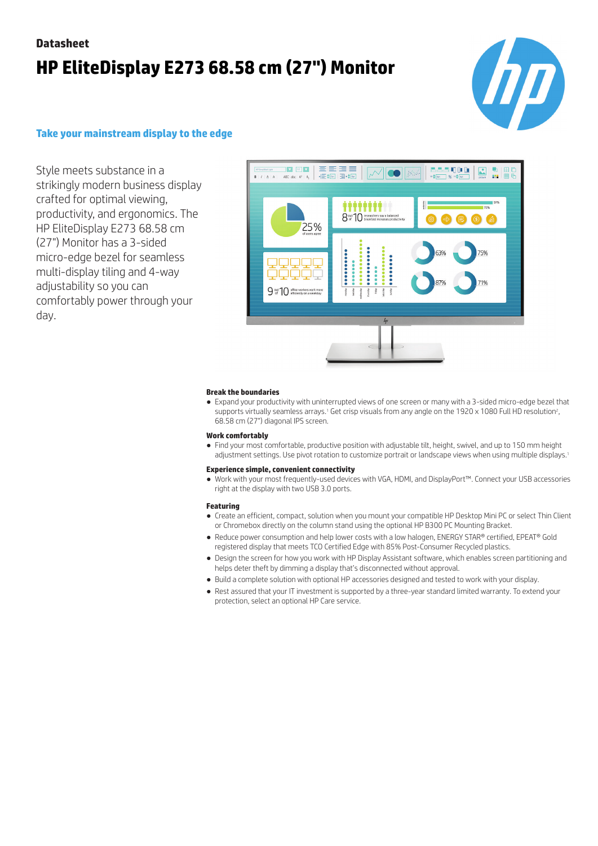# **Datasheet HP EliteDisplay E273 68.58 cm (27") Monitor**



### **Take your mainstream display to the edge**

Style meets substance in a strikingly modern business display crafted for optimal viewing, productivity, and ergonomics. The HP EliteDisplay E273 68.58 cm (27") Monitor has a 3-sided micro-edge bezel for seamless multi-display tiling and 4-way adjustability so you can comfortably power through your day.



#### **Break the boundaries**

● Expand your productivity with uninterrupted views of one screen or many with a 3-sided micro-edge bezel that supports virtually seamless arrays.1 Get crisp visuals from any angle on the 1920  $\times$  1080 Full HD resolution?, 68.58 cm (27") diagonal IPS screen.

#### **Work comfortably**

● Find your most comfortable, productive position with adjustable tilt, height, swivel, and up to 150 mm height adjustment settings. Use pivot rotation to customize portrait or landscape views when using multiple displays.<sup>1</sup>

### **Experience simple, convenient connectivity**

● Work with your most frequently-used devices with VGA, HDMI, and DisplayPort™. Connect your USB accessories right at the display with two USB 3.0 ports.

#### **Featuring**

- Create an efficient, compact, solution when you mount your compatible HP Desktop Mini PC or select Thin Client or Chromebox directly on the column stand using the optional HP B300 PC Mounting Bracket.
- Reduce power consumption and help lower costs with a low halogen, ENERGY STAR® certified, EPEAT® Gold registered display that meets TCO Certified Edge with 85% Post-Consumer Recycled plastics.
- Design the screen for how you work with HP Display Assistant software, which enables screen partitioning and helps deter theft by dimming a display that's disconnected without approval.
- Build a complete solution with optional HP accessories designed and tested to work with your display.
- Rest assured that your IT investment is supported by a three-year standard limited warranty. To extend your protection, select an optional HP Care service.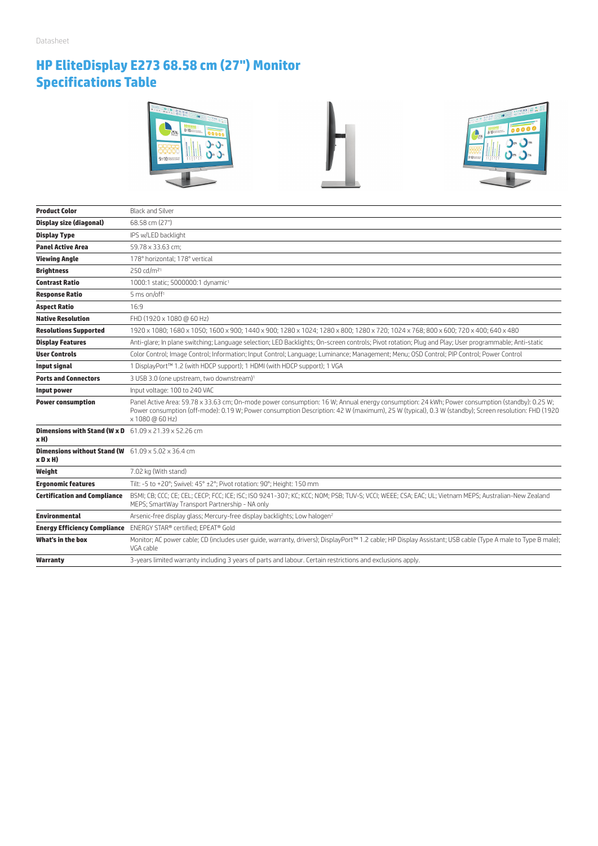## **HP EliteDisplay E273 68.58 cm (27") Monitor Specifications Table**







| <b>Product Color</b>                                                                   | <b>Black and Silver</b>                                                                                                                                                                                                                                                                                                |
|----------------------------------------------------------------------------------------|------------------------------------------------------------------------------------------------------------------------------------------------------------------------------------------------------------------------------------------------------------------------------------------------------------------------|
| <b>Display size (diagonal)</b>                                                         | 68.58 cm (27")                                                                                                                                                                                                                                                                                                         |
| <b>Display Type</b>                                                                    | IPS w/LED backlight                                                                                                                                                                                                                                                                                                    |
| <b>Panel Active Area</b>                                                               | 59.78 x 33.63 cm;                                                                                                                                                                                                                                                                                                      |
| <b>Viewing Angle</b>                                                                   | 178° horizontal: 178° vertical                                                                                                                                                                                                                                                                                         |
| <b>Brightness</b>                                                                      | 250 cd/m <sup>21</sup>                                                                                                                                                                                                                                                                                                 |
| <b>Contrast Ratio</b>                                                                  | 1000:1 static; 5000000:1 dynamic <sup>1</sup>                                                                                                                                                                                                                                                                          |
| <b>Response Ratio</b>                                                                  | 5 ms on/off <sup>1</sup>                                                                                                                                                                                                                                                                                               |
| <b>Aspect Ratio</b>                                                                    | 16:9                                                                                                                                                                                                                                                                                                                   |
| <b>Native Resolution</b>                                                               | FHD (1920 x 1080 @ 60 Hz)                                                                                                                                                                                                                                                                                              |
| <b>Resolutions Supported</b>                                                           | 1920 x 1080; 1680 x 1050; 1600 x 900; 1440 x 900; 1280 x 1024; 1280 x 800; 1280 x 720; 1024 x 768; 800 x 600; 720 x 400; 640 x 480                                                                                                                                                                                     |
| <b>Display Features</b>                                                                | Anti-glare; In plane switching; Language selection; LED Backlights; On-screen controls; Pivot rotation; Plug and Play; User programmable; Anti-static                                                                                                                                                                  |
| <b>User Controls</b>                                                                   | Color Control; Image Control; Information; Input Control; Language; Luminance; Management; Menu; OSD Control; PIP Control; Power Control                                                                                                                                                                               |
| <b>Input signal</b>                                                                    | 1 DisplayPort™ 1.2 (with HDCP support); 1 HDMI (with HDCP support); 1 VGA                                                                                                                                                                                                                                              |
| <b>Ports and Connectors</b>                                                            | 3 USB 3.0 (one upstream, two downstream) <sup>1</sup>                                                                                                                                                                                                                                                                  |
| Input power                                                                            | Input voltage: 100 to 240 VAC                                                                                                                                                                                                                                                                                          |
| <b>Power consumption</b>                                                               | Panel Active Area: 59.78 x 33.63 cm; On-mode power consumption: 16 W; Annual energy consumption: 24 kWh; Power consumption (standby): 0.25 W;<br>Power consumption (off-mode): 0.19 W; Power consumption Description: 42 W (maximum), 25 W (typical), 0.3 W (standby); Screen resolution: FHD (1920<br>x 1080 @ 60 Hz) |
| <b>Dimensions with Stand (W x D</b> $61.09 \times 21.39 \times 52.26$ cm<br>xH)        |                                                                                                                                                                                                                                                                                                                        |
| <b>Dimensions without Stand (W</b> $-61.09 \times 5.02 \times 36.4$ cm<br>$x$ D $x$ H) |                                                                                                                                                                                                                                                                                                                        |
| Weight                                                                                 | 7.02 kg (With stand)                                                                                                                                                                                                                                                                                                   |
| <b>Ergonomic features</b>                                                              | Tilt: -5 to +20°; Swivel: 45° ±2°; Pivot rotation: 90°; Height: 150 mm                                                                                                                                                                                                                                                 |
| <b>Certification and Compliance</b>                                                    | BSMI; CB; CCC; CE; CEL; CECP; FCC; ICE; ISC; ISO 9241-307; KC; KCC; NOM; PSB; TUV-S; VCCI; WEEE; CSA; EAC; UL; Vietnam MEPS; Australian-New Zealand<br>MEPS; SmartWay Transport Partnership - NA only                                                                                                                  |
| <b>Environmental</b>                                                                   | Arsenic-free display glass; Mercury-free display backlights; Low halogen <sup>2</sup>                                                                                                                                                                                                                                  |
|                                                                                        | <b>Energy Efficiency Compliance</b> ENERGY STAR® certified; EPEAT® Gold                                                                                                                                                                                                                                                |
| What's in the box                                                                      | Monitor; AC power cable; CD (includes user quide, warranty, drivers); DisplayPort™ 1.2 cable; HP Display Assistant; USB cable (Type A male to Type B male);<br>VGA cable                                                                                                                                               |
|                                                                                        |                                                                                                                                                                                                                                                                                                                        |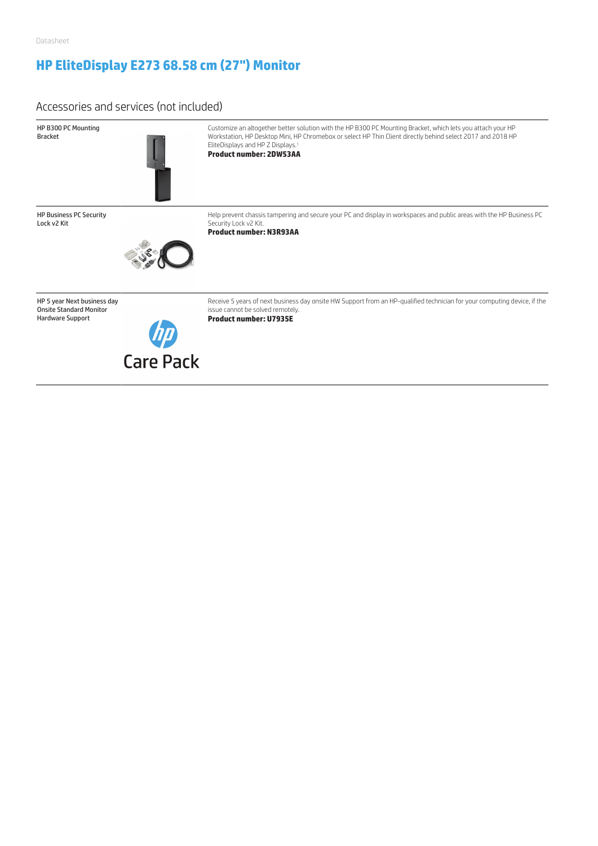## **HP EliteDisplay E273 68.58 cm (27") Monitor**

### Accessories and services (not included)